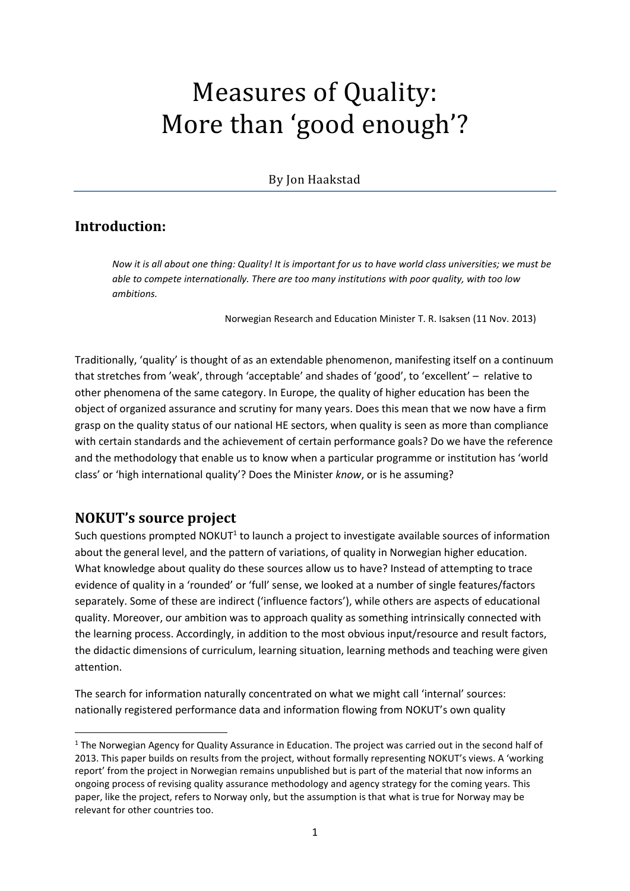# Measures of Quality: More than 'good enough'?

## By Jon Haakstad

# **Introduction:**

*Now it is all about one thing: Quality! It is important for us to have world class universities; we must be able to compete internationally. There are too many institutions with poor quality, with too low ambitions.*

Norwegian Research and Education Minister T. R. Isaksen (11 Nov. 2013)

Traditionally, 'quality' is thought of as an extendable phenomenon, manifesting itself on a continuum that stretches from 'weak', through 'acceptable' and shades of 'good', to 'excellent' – relative to other phenomena of the same category. In Europe, the quality of higher education has been the object of organized assurance and scrutiny for many years. Does this mean that we now have a firm grasp on the quality status of our national HE sectors, when quality is seen as more than compliance with certain standards and the achievement of certain performance goals? Do we have the reference and the methodology that enable us to know when a particular programme or institution has 'world class' or 'high international quality'? Does the Minister *know*, or is he assuming?

# **NOKUT's source project**

**.** 

Such questions prompted NOKUT<sup>1</sup> to launch a project to investigate available sources of information about the general level, and the pattern of variations, of quality in Norwegian higher education. What knowledge about quality do these sources allow us to have? Instead of attempting to trace evidence of quality in a 'rounded' or 'full' sense, we looked at a number of single features/factors separately. Some of these are indirect ('influence factors'), while others are aspects of educational quality. Moreover, our ambition was to approach quality as something intrinsically connected with the learning process. Accordingly, in addition to the most obvious input/resource and result factors, the didactic dimensions of curriculum, learning situation, learning methods and teaching were given attention.

The search for information naturally concentrated on what we might call 'internal' sources: nationally registered performance data and information flowing from NOKUT's own quality

<sup>&</sup>lt;sup>1</sup> The Norwegian Agency for Quality Assurance in Education. The project was carried out in the second half of 2013. This paper builds on results from the project, without formally representing NOKUT's views. A 'working report' from the project in Norwegian remains unpublished but is part of the material that now informs an ongoing process of revising quality assurance methodology and agency strategy for the coming years. This paper, like the project, refers to Norway only, but the assumption is that what is true for Norway may be relevant for other countries too.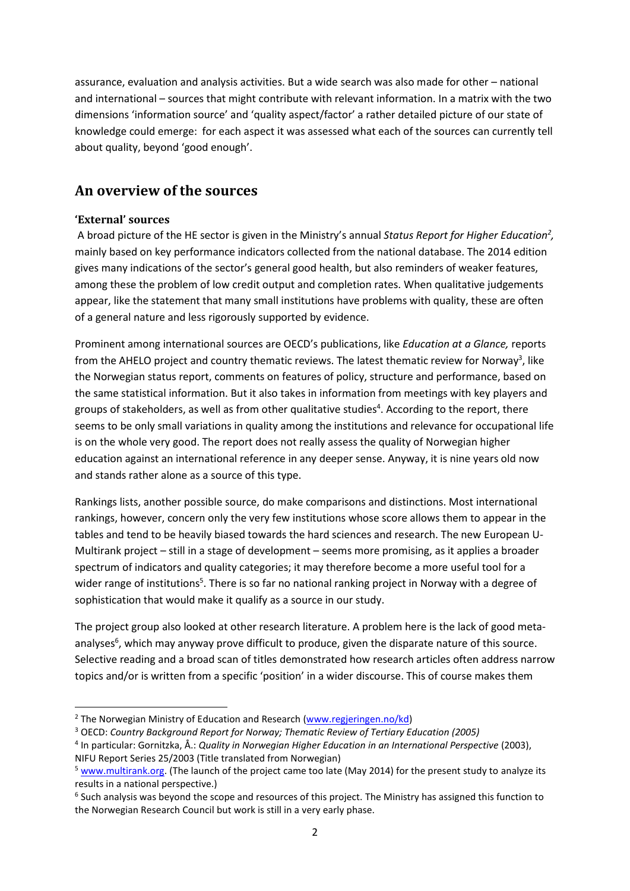assurance, evaluation and analysis activities. But a wide search was also made for other – national and international – sources that might contribute with relevant information. In a matrix with the two dimensions 'information source' and 'quality aspect/factor' a rather detailed picture of our state of knowledge could emerge: for each aspect it was assessed what each of the sources can currently tell about quality, beyond 'good enough'.

# **An overview of the sources**

## **'External' sources**

**.** 

A broad picture of the HE sector is given in the Ministry's annual *Status Report for Higher Education<sup>2</sup> ,* mainly based on key performance indicators collected from the national database. The 2014 edition gives many indications of the sector's general good health, but also reminders of weaker features, among these the problem of low credit output and completion rates. When qualitative judgements appear, like the statement that many small institutions have problems with quality, these are often of a general nature and less rigorously supported by evidence.

Prominent among international sources are OECD's publications, like *Education at a Glance,* reports from the AHELO project and country thematic reviews. The latest thematic review for Norway<sup>3</sup>, like the Norwegian status report, comments on features of policy, structure and performance, based on the same statistical information. But it also takes in information from meetings with key players and groups of stakeholders, as well as from other qualitative studies<sup>4</sup>. According to the report, there seems to be only small variations in quality among the institutions and relevance for occupational life is on the whole very good. The report does not really assess the quality of Norwegian higher education against an international reference in any deeper sense. Anyway, it is nine years old now and stands rather alone as a source of this type.

Rankings lists, another possible source, do make comparisons and distinctions. Most international rankings, however, concern only the very few institutions whose score allows them to appear in the tables and tend to be heavily biased towards the hard sciences and research. The new European U-Multirank project – still in a stage of development – seems more promising, as it applies a broader spectrum of indicators and quality categories; it may therefore become a more useful tool for a wider range of institutions<sup>5</sup>. There is so far no national ranking project in Norway with a degree of sophistication that would make it qualify as a source in our study.

The project group also looked at other research literature. A problem here is the lack of good metaanalyses<sup>6</sup>, which may anyway prove difficult to produce, given the disparate nature of this source. Selective reading and a broad scan of titles demonstrated how research articles often address narrow topics and/or is written from a specific 'position' in a wider discourse. This of course makes them

- <sup>3</sup> OECD: *Country Background Report for Norway; Thematic Review of Tertiary Education (2005)*
- 4 In particular: Gornitzka, Å.: *Quality in Norwegian Higher Education in an International Perspective* (2003), NIFU Report Series 25/2003 (Title translated from Norwegian)

<sup>&</sup>lt;sup>2</sup> The Norwegian Ministry of Education and Research [\(www.regjeringen.no/kd\)](http://www.regjeringen.no/kd)

<sup>5</sup> [www.multirank.org.](http://www.multirank.org/) (The launch of the project came too late (May 2014) for the present study to analyze its results in a national perspective.)

 $^6$  Such analysis was beyond the scope and resources of this project. The Ministry has assigned this function to the Norwegian Research Council but work is still in a very early phase.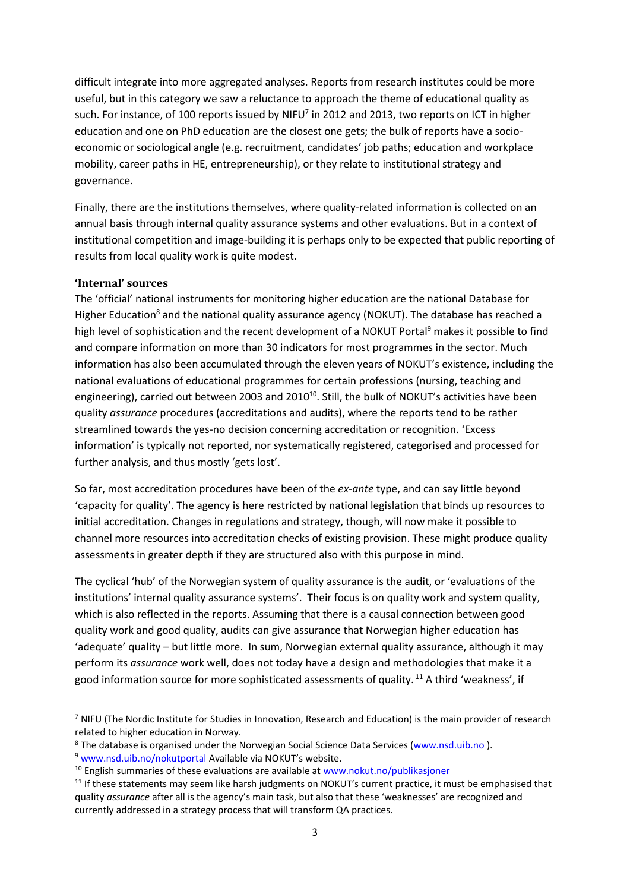difficult integrate into more aggregated analyses. Reports from research institutes could be more useful, but in this category we saw a reluctance to approach the theme of educational quality as such. For instance, of 100 reports issued by NIFU<sup>7</sup> in 2012 and 2013, two reports on ICT in higher education and one on PhD education are the closest one gets; the bulk of reports have a socioeconomic or sociological angle (e.g. recruitment, candidates' job paths; education and workplace mobility, career paths in HE, entrepreneurship), or they relate to institutional strategy and governance.

Finally, there are the institutions themselves, where quality-related information is collected on an annual basis through internal quality assurance systems and other evaluations. But in a context of institutional competition and image-building it is perhaps only to be expected that public reporting of results from local quality work is quite modest.

#### **'Internal' sources**

**.** 

The 'official' national instruments for monitoring higher education are the national Database for Higher Education<sup>8</sup> and the national quality assurance agency (NOKUT). The database has reached a high level of sophistication and the recent development of a NOKUT Portal<sup>9</sup> makes it possible to find and compare information on more than 30 indicators for most programmes in the sector. Much information has also been accumulated through the eleven years of NOKUT's existence, including the national evaluations of educational programmes for certain professions (nursing, teaching and engineering), carried out between 2003 and 2010<sup>10</sup>. Still, the bulk of NOKUT's activities have been quality *assurance* procedures (accreditations and audits), where the reports tend to be rather streamlined towards the yes-no decision concerning accreditation or recognition. 'Excess information' is typically not reported, nor systematically registered, categorised and processed for further analysis, and thus mostly 'gets lost'.

So far, most accreditation procedures have been of the *ex-ante* type, and can say little beyond 'capacity for quality'. The agency is here restricted by national legislation that binds up resources to initial accreditation. Changes in regulations and strategy, though, will now make it possible to channel more resources into accreditation checks of existing provision. These might produce quality assessments in greater depth if they are structured also with this purpose in mind.

The cyclical 'hub' of the Norwegian system of quality assurance is the audit, or 'evaluations of the institutions' internal quality assurance systems'. Their focus is on quality work and system quality, which is also reflected in the reports. Assuming that there is a causal connection between good quality work and good quality, audits can give assurance that Norwegian higher education has 'adequate' quality – but little more. In sum, Norwegian external quality assurance, although it may perform its *assurance* work well, does not today have a design and methodologies that make it a good information source for more sophisticated assessments of quality. <sup>11</sup> A third 'weakness', if

<sup>&</sup>lt;sup>7</sup> NIFU (The Nordic Institute for Studies in Innovation, Research and Education) is the main provider of research related to higher education in Norway.

<sup>&</sup>lt;sup>8</sup> The database is organised under the Norwegian Social Science Data Services [\(www.nsd.uib.no](http://www.nsd.uib.no/)).

<sup>&</sup>lt;sup>9</sup> [www.nsd.uib.no/nokutportal](http://www.nsd.uib.no/nokutportal) Available via NOKUT's website.

 $10$  English summaries of these evaluations are available at [www.nokut.no/publikasjoner](http://www.nokut.no/publikasjoner)

 $11$  If these statements may seem like harsh judgments on NOKUT's current practice, it must be emphasised that quality *assurance* after all is the agency's main task, but also that these 'weaknesses' are recognized and currently addressed in a strategy process that will transform QA practices.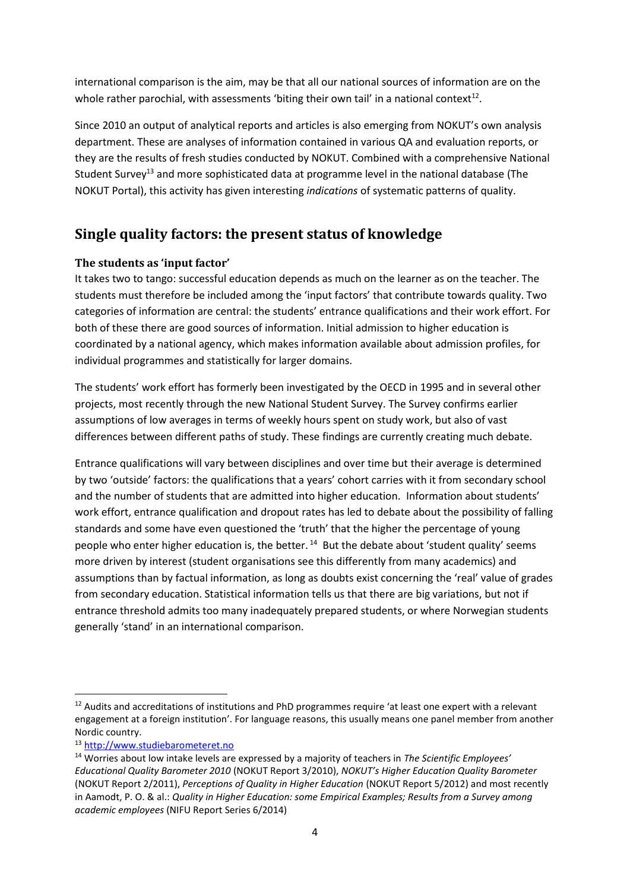international comparison is the aim, may be that all our national sources of information are on the whole rather parochial, with assessments 'biting their own tail' in a national context<sup>12</sup>.

Since 2010 an output of analytical reports and articles is also emerging from NOKUT's own analysis department. These are analyses of information contained in various QA and evaluation reports, or they are the results of fresh studies conducted by NOKUT. Combined with a comprehensive National Student Survey<sup>13</sup> and more sophisticated data at programme level in the national database (The NOKUT Portal), this activity has given interesting *indications* of systematic patterns of quality.

# **Single quality factors: the present status of knowledge**

## **The students as 'input factor'**

It takes two to tango: successful education depends as much on the learner as on the teacher. The students must therefore be included among the 'input factors' that contribute towards quality. Two categories of information are central: the students' entrance qualifications and their work effort. For both of these there are good sources of information. Initial admission to higher education is coordinated by a national agency, which makes information available about admission profiles, for individual programmes and statistically for larger domains.

The students' work effort has formerly been investigated by the OECD in 1995 and in several other projects, most recently through the new National Student Survey. The Survey confirms earlier assumptions of low averages in terms of weekly hours spent on study work, but also of vast differences between different paths of study. These findings are currently creating much debate.

Entrance qualifications will vary between disciplines and over time but their average is determined by two 'outside' factors: the qualifications that a years' cohort carries with it from secondary school and the number of students that are admitted into higher education. Information about students' work effort, entrance qualification and dropout rates has led to debate about the possibility of falling standards and some have even questioned the 'truth' that the higher the percentage of young people who enter higher education is, the better.  $14$  But the debate about 'student quality' seems more driven by interest (student organisations see this differently from many academics) and assumptions than by factual information, as long as doubts exist concerning the 'real' value of grades from secondary education. Statistical information tells us that there are big variations, but not if entrance threshold admits too many inadequately prepared students, or where Norwegian students generally 'stand' in an international comparison.

1

<sup>&</sup>lt;sup>12</sup> Audits and accreditations of institutions and PhD programmes require 'at least one expert with a relevant engagement at a foreign institution'. For language reasons, this usually means one panel member from another Nordic country.

<sup>13</sup> [http://www.studiebarometeret.no](http://www.studiebarometeret.no/)

<sup>14</sup> Worries about low intake levels are expressed by a majority of teachers in *The Scientific Employees' Educational Quality Barometer 2010* (NOKUT Report 3/2010), *NOKUT's Higher Education Quality Barometer*  (NOKUT Report 2/2011), *Perceptions of Quality in Higher Education* (NOKUT Report 5/2012) and most recently in Aamodt, P. O. & al.: *Quality in Higher Education: some Empirical Examples; Results from a Survey among academic employees* (NIFU Report Series 6/2014)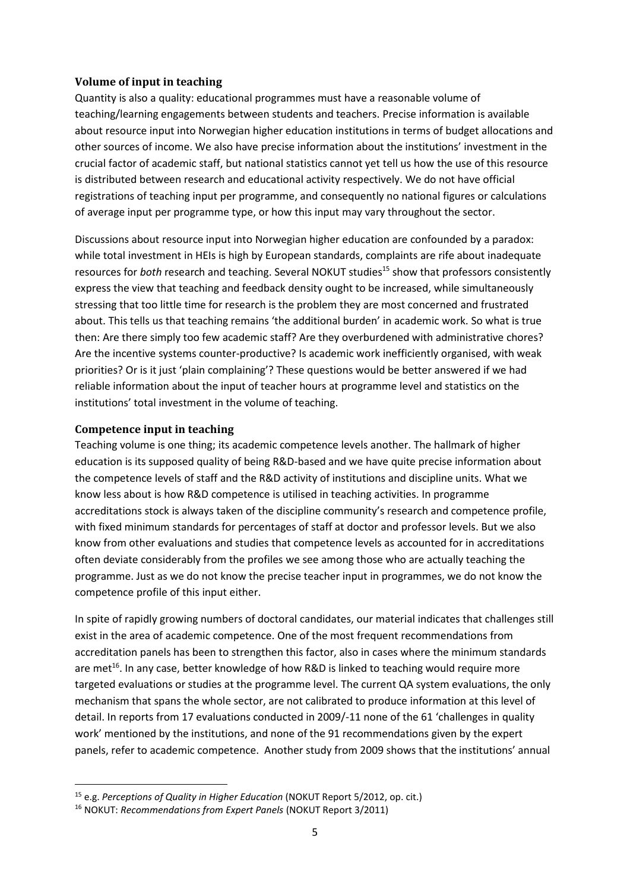#### **Volume of input in teaching**

Quantity is also a quality: educational programmes must have a reasonable volume of teaching/learning engagements between students and teachers. Precise information is available about resource input into Norwegian higher education institutions in terms of budget allocations and other sources of income. We also have precise information about the institutions' investment in the crucial factor of academic staff, but national statistics cannot yet tell us how the use of this resource is distributed between research and educational activity respectively. We do not have official registrations of teaching input per programme, and consequently no national figures or calculations of average input per programme type, or how this input may vary throughout the sector.

Discussions about resource input into Norwegian higher education are confounded by a paradox: while total investment in HEIs is high by European standards, complaints are rife about inadequate resources for *both* research and teaching. Several NOKUT studies<sup>15</sup> show that professors consistently express the view that teaching and feedback density ought to be increased, while simultaneously stressing that too little time for research is the problem they are most concerned and frustrated about. This tells us that teaching remains 'the additional burden' in academic work. So what is true then: Are there simply too few academic staff? Are they overburdened with administrative chores? Are the incentive systems counter-productive? Is academic work inefficiently organised, with weak priorities? Or is it just 'plain complaining'? These questions would be better answered if we had reliable information about the input of teacher hours at programme level and statistics on the institutions' total investment in the volume of teaching.

#### **Competence input in teaching**

1

Teaching volume is one thing; its academic competence levels another. The hallmark of higher education is its supposed quality of being R&D-based and we have quite precise information about the competence levels of staff and the R&D activity of institutions and discipline units. What we know less about is how R&D competence is utilised in teaching activities. In programme accreditations stock is always taken of the discipline community's research and competence profile, with fixed minimum standards for percentages of staff at doctor and professor levels. But we also know from other evaluations and studies that competence levels as accounted for in accreditations often deviate considerably from the profiles we see among those who are actually teaching the programme. Just as we do not know the precise teacher input in programmes, we do not know the competence profile of this input either.

In spite of rapidly growing numbers of doctoral candidates, our material indicates that challenges still exist in the area of academic competence. One of the most frequent recommendations from accreditation panels has been to strengthen this factor, also in cases where the minimum standards are met<sup>16</sup>. In any case, better knowledge of how R&D is linked to teaching would require more targeted evaluations or studies at the programme level. The current QA system evaluations, the only mechanism that spans the whole sector, are not calibrated to produce information at this level of detail. In reports from 17 evaluations conducted in 2009/-11 none of the 61 'challenges in quality work' mentioned by the institutions, and none of the 91 recommendations given by the expert panels, refer to academic competence. Another study from 2009 shows that the institutions' annual

<sup>15</sup> e.g. *Perceptions of Quality in Higher Education* (NOKUT Report 5/2012, op. cit.)

<sup>16</sup> NOKUT: *Recommendations from Expert Panels* (NOKUT Report 3/2011)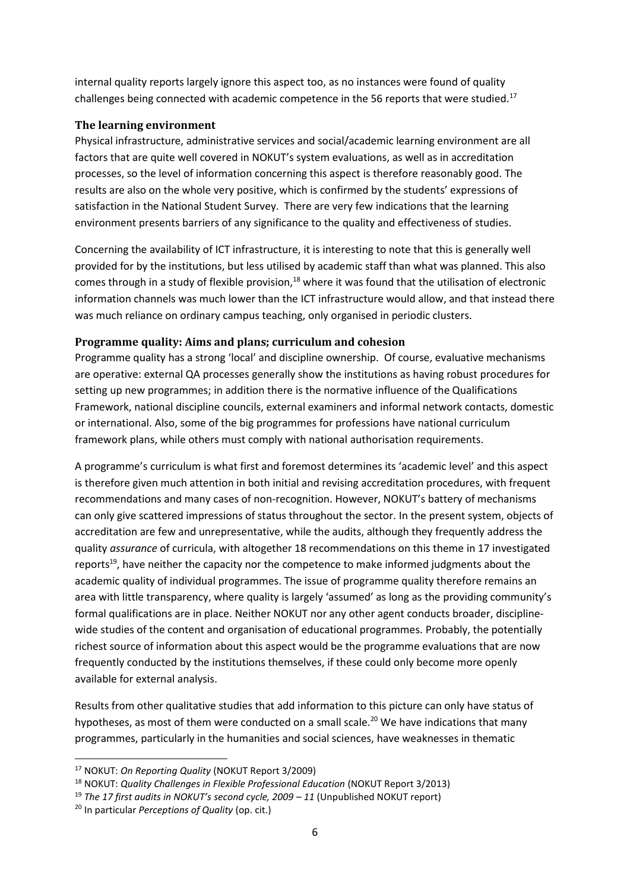internal quality reports largely ignore this aspect too, as no instances were found of quality challenges being connected with academic competence in the 56 reports that were studied.<sup>17</sup>

### **The learning environment**

Physical infrastructure, administrative services and social/academic learning environment are all factors that are quite well covered in NOKUT's system evaluations, as well as in accreditation processes, so the level of information concerning this aspect is therefore reasonably good. The results are also on the whole very positive, which is confirmed by the students' expressions of satisfaction in the National Student Survey. There are very few indications that the learning environment presents barriers of any significance to the quality and effectiveness of studies.

Concerning the availability of ICT infrastructure, it is interesting to note that this is generally well provided for by the institutions, but less utilised by academic staff than what was planned. This also comes through in a study of flexible provision,<sup>18</sup> where it was found that the utilisation of electronic information channels was much lower than the ICT infrastructure would allow, and that instead there was much reliance on ordinary campus teaching, only organised in periodic clusters.

## **Programme quality: Aims and plans; curriculum and cohesion**

Programme quality has a strong 'local' and discipline ownership. Of course, evaluative mechanisms are operative: external QA processes generally show the institutions as having robust procedures for setting up new programmes; in addition there is the normative influence of the Qualifications Framework, national discipline councils, external examiners and informal network contacts, domestic or international. Also, some of the big programmes for professions have national curriculum framework plans, while others must comply with national authorisation requirements.

A programme's curriculum is what first and foremost determines its 'academic level' and this aspect is therefore given much attention in both initial and revising accreditation procedures, with frequent recommendations and many cases of non-recognition. However, NOKUT's battery of mechanisms can only give scattered impressions of status throughout the sector. In the present system, objects of accreditation are few and unrepresentative, while the audits, although they frequently address the quality *assurance* of curricula, with altogether 18 recommendations on this theme in 17 investigated reports<sup>19</sup>, have neither the capacity nor the competence to make informed judgments about the academic quality of individual programmes. The issue of programme quality therefore remains an area with little transparency, where quality is largely 'assumed' as long as the providing community's formal qualifications are in place. Neither NOKUT nor any other agent conducts broader, disciplinewide studies of the content and organisation of educational programmes. Probably, the potentially richest source of information about this aspect would be the programme evaluations that are now frequently conducted by the institutions themselves, if these could only become more openly available for external analysis.

Results from other qualitative studies that add information to this picture can only have status of hypotheses, as most of them were conducted on a small scale.<sup>20</sup> We have indications that many programmes, particularly in the humanities and social sciences, have weaknesses in thematic

1

<sup>17</sup> NOKUT: *On Reporting Quality* (NOKUT Report 3/2009)

<sup>18</sup> NOKUT: *Quality Challenges in Flexible Professional Education* (NOKUT Report 3/2013)

<sup>19</sup> *The 17 first audits in NOKUT's second cycle, 2009 – 11* (Unpublished NOKUT report)

<sup>20</sup> In particular *Perceptions of Quality* (op. cit.)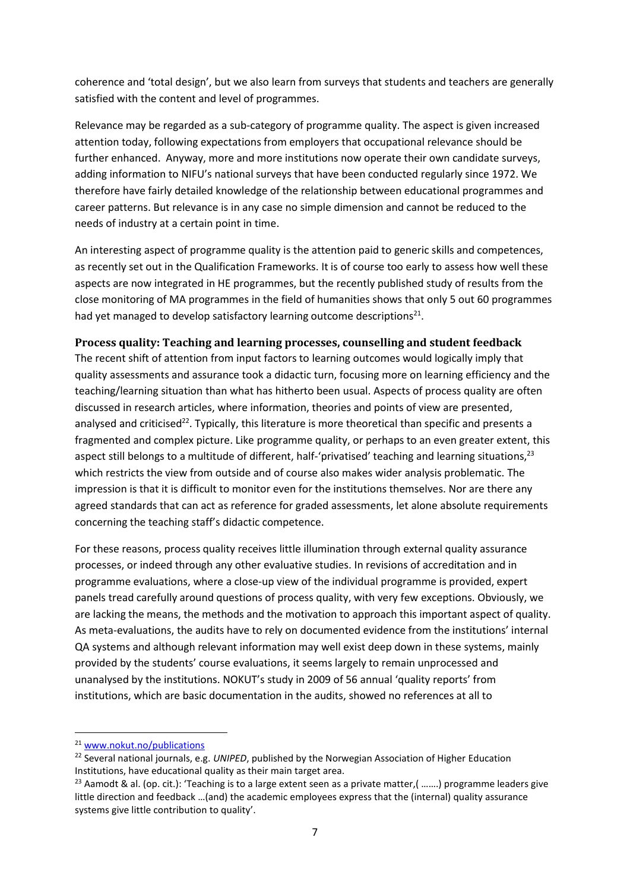coherence and 'total design', but we also learn from surveys that students and teachers are generally satisfied with the content and level of programmes.

Relevance may be regarded as a sub-category of programme quality. The aspect is given increased attention today, following expectations from employers that occupational relevance should be further enhanced. Anyway, more and more institutions now operate their own candidate surveys, adding information to NIFU's national surveys that have been conducted regularly since 1972. We therefore have fairly detailed knowledge of the relationship between educational programmes and career patterns. But relevance is in any case no simple dimension and cannot be reduced to the needs of industry at a certain point in time.

An interesting aspect of programme quality is the attention paid to generic skills and competences, as recently set out in the Qualification Frameworks. It is of course too early to assess how well these aspects are now integrated in HE programmes, but the recently published study of results from the close monitoring of MA programmes in the field of humanities shows that only 5 out 60 programmes had yet managed to develop satisfactory learning outcome descriptions<sup>21</sup>.

## **Process quality: Teaching and learning processes, counselling and student feedback**

The recent shift of attention from input factors to learning outcomes would logically imply that quality assessments and assurance took a didactic turn, focusing more on learning efficiency and the teaching/learning situation than what has hitherto been usual. Aspects of process quality are often discussed in research articles, where information, theories and points of view are presented, analysed and criticised<sup>22</sup>. Typically, this literature is more theoretical than specific and presents a fragmented and complex picture. Like programme quality, or perhaps to an even greater extent, this aspect still belongs to a multitude of different, half-'privatised' teaching and learning situations,<sup>23</sup> which restricts the view from outside and of course also makes wider analysis problematic. The impression is that it is difficult to monitor even for the institutions themselves. Nor are there any agreed standards that can act as reference for graded assessments, let alone absolute requirements concerning the teaching staff's didactic competence.

For these reasons, process quality receives little illumination through external quality assurance processes, or indeed through any other evaluative studies. In revisions of accreditation and in programme evaluations, where a close-up view of the individual programme is provided, expert panels tread carefully around questions of process quality, with very few exceptions. Obviously, we are lacking the means, the methods and the motivation to approach this important aspect of quality. As meta-evaluations, the audits have to rely on documented evidence from the institutions' internal QA systems and although relevant information may well exist deep down in these systems, mainly provided by the students' course evaluations, it seems largely to remain unprocessed and unanalysed by the institutions. NOKUT's study in 2009 of 56 annual 'quality reports' from institutions, which are basic documentation in the audits, showed no references at all to

**.** 

<sup>21</sup> [www.nokut.no/publications](http://www.nokut.no/publications)

<sup>22</sup> Several national journals, e.g. *UNIPED*, published by the Norwegian Association of Higher Education Institutions, have educational quality as their main target area.

<sup>&</sup>lt;sup>23</sup> Aamodt & al. (op. cit.): 'Teaching is to a large extent seen as a private matter.( …….) programme leaders give little direction and feedback …(and) the academic employees express that the (internal) quality assurance systems give little contribution to quality'.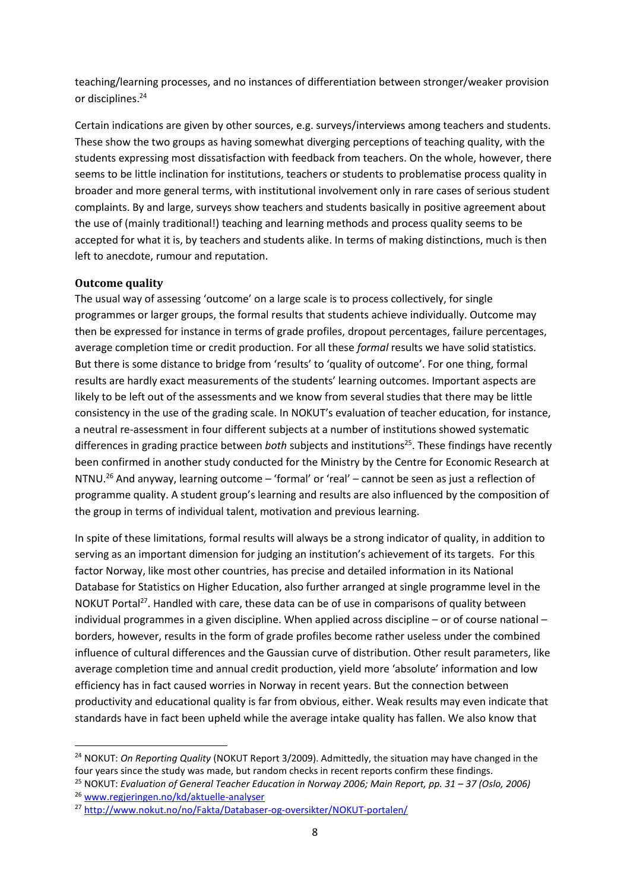teaching/learning processes, and no instances of differentiation between stronger/weaker provision or disciplines.<sup>24</sup>

Certain indications are given by other sources, e.g. surveys/interviews among teachers and students. These show the two groups as having somewhat diverging perceptions of teaching quality, with the students expressing most dissatisfaction with feedback from teachers. On the whole, however, there seems to be little inclination for institutions, teachers or students to problematise process quality in broader and more general terms, with institutional involvement only in rare cases of serious student complaints. By and large, surveys show teachers and students basically in positive agreement about the use of (mainly traditional!) teaching and learning methods and process quality seems to be accepted for what it is, by teachers and students alike. In terms of making distinctions, much is then left to anecdote, rumour and reputation.

#### **Outcome quality**

**.** 

The usual way of assessing 'outcome' on a large scale is to process collectively, for single programmes or larger groups, the formal results that students achieve individually. Outcome may then be expressed for instance in terms of grade profiles, dropout percentages, failure percentages, average completion time or credit production. For all these *formal* results we have solid statistics. But there is some distance to bridge from 'results' to 'quality of outcome'. For one thing, formal results are hardly exact measurements of the students' learning outcomes. Important aspects are likely to be left out of the assessments and we know from several studies that there may be little consistency in the use of the grading scale. In NOKUT's evaluation of teacher education, for instance, a neutral re-assessment in four different subjects at a number of institutions showed systematic differences in grading practice between *both* subjects and institutions<sup>25</sup>. These findings have recently been confirmed in another study conducted for the Ministry by the Centre for Economic Research at NTNU.<sup>26</sup> And anyway, learning outcome – 'formal' or 'real' – cannot be seen as just a reflection of programme quality. A student group's learning and results are also influenced by the composition of the group in terms of individual talent, motivation and previous learning.

In spite of these limitations, formal results will always be a strong indicator of quality, in addition to serving as an important dimension for judging an institution's achievement of its targets. For this factor Norway, like most other countries, has precise and detailed information in its National Database for Statistics on Higher Education, also further arranged at single programme level in the NOKUT Portal<sup>27</sup>. Handled with care, these data can be of use in comparisons of quality between individual programmes in a given discipline. When applied across discipline – or of course national – borders, however, results in the form of grade profiles become rather useless under the combined influence of cultural differences and the Gaussian curve of distribution. Other result parameters, like average completion time and annual credit production, yield more 'absolute' information and low efficiency has in fact caused worries in Norway in recent years. But the connection between productivity and educational quality is far from obvious, either. Weak results may even indicate that standards have in fact been upheld while the average intake quality has fallen. We also know that

<sup>24</sup> NOKUT: *On Reporting Quality* (NOKUT Report 3/2009). Admittedly, the situation may have changed in the four years since the study was made, but random checks in recent reports confirm these findings.

<sup>&</sup>lt;sup>25</sup> NOKUT: *Evaluation of General Teacher Education in Norway 2006; Main Report, pp. 31 – 37 (Oslo, 2006)* <sup>26</sup> [www.regjeringen.no/kd/aktuelle-analyser](http://www.regjeringen.no/kd/aktuelle-analyser)

<sup>27</sup> <http://www.nokut.no/no/Fakta/Databaser-og-oversikter/NOKUT-portalen/>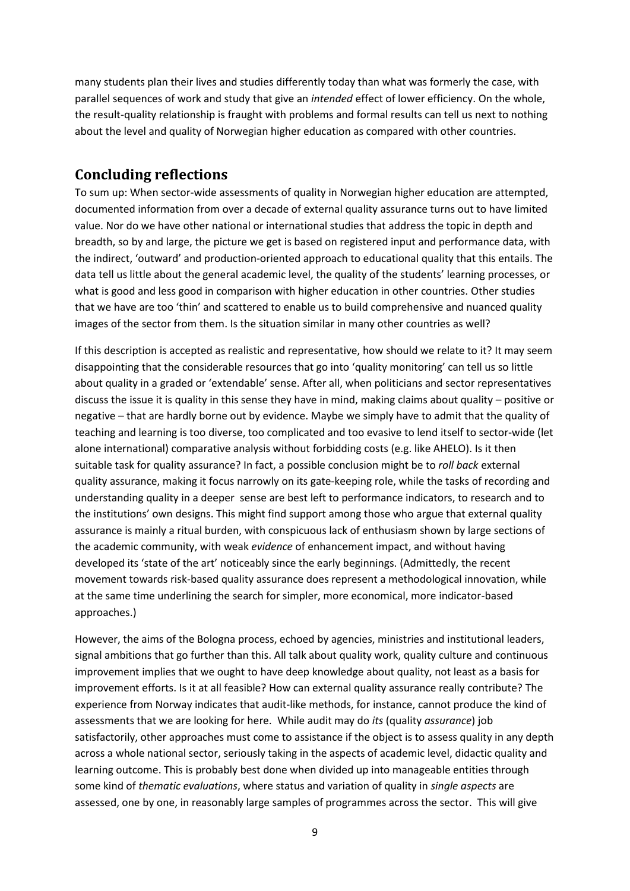many students plan their lives and studies differently today than what was formerly the case, with parallel sequences of work and study that give an *intended* effect of lower efficiency. On the whole, the result-quality relationship is fraught with problems and formal results can tell us next to nothing about the level and quality of Norwegian higher education as compared with other countries.

# **Concluding reflections**

To sum up: When sector-wide assessments of quality in Norwegian higher education are attempted, documented information from over a decade of external quality assurance turns out to have limited value. Nor do we have other national or international studies that address the topic in depth and breadth, so by and large, the picture we get is based on registered input and performance data, with the indirect, 'outward' and production-oriented approach to educational quality that this entails. The data tell us little about the general academic level, the quality of the students' learning processes, or what is good and less good in comparison with higher education in other countries. Other studies that we have are too 'thin' and scattered to enable us to build comprehensive and nuanced quality images of the sector from them. Is the situation similar in many other countries as well?

If this description is accepted as realistic and representative, how should we relate to it? It may seem disappointing that the considerable resources that go into 'quality monitoring' can tell us so little about quality in a graded or 'extendable' sense. After all, when politicians and sector representatives discuss the issue it is quality in this sense they have in mind, making claims about quality – positive or negative – that are hardly borne out by evidence. Maybe we simply have to admit that the quality of teaching and learning is too diverse, too complicated and too evasive to lend itself to sector-wide (let alone international) comparative analysis without forbidding costs (e.g. like AHELO). Is it then suitable task for quality assurance? In fact, a possible conclusion might be to *roll back* external quality assurance, making it focus narrowly on its gate-keeping role, while the tasks of recording and understanding quality in a deeper sense are best left to performance indicators, to research and to the institutions' own designs. This might find support among those who argue that external quality assurance is mainly a ritual burden, with conspicuous lack of enthusiasm shown by large sections of the academic community, with weak *evidence* of enhancement impact, and without having developed its 'state of the art' noticeably since the early beginnings. (Admittedly, the recent movement towards risk-based quality assurance does represent a methodological innovation, while at the same time underlining the search for simpler, more economical, more indicator-based approaches.)

However, the aims of the Bologna process, echoed by agencies, ministries and institutional leaders, signal ambitions that go further than this. All talk about quality work, quality culture and continuous improvement implies that we ought to have deep knowledge about quality, not least as a basis for improvement efforts. Is it at all feasible? How can external quality assurance really contribute? The experience from Norway indicates that audit-like methods, for instance, cannot produce the kind of assessments that we are looking for here. While audit may do *its* (quality *assurance*) job satisfactorily, other approaches must come to assistance if the object is to assess quality in any depth across a whole national sector, seriously taking in the aspects of academic level, didactic quality and learning outcome. This is probably best done when divided up into manageable entities through some kind of *thematic evaluations*, where status and variation of quality in *single aspects* are assessed, one by one, in reasonably large samples of programmes across the sector. This will give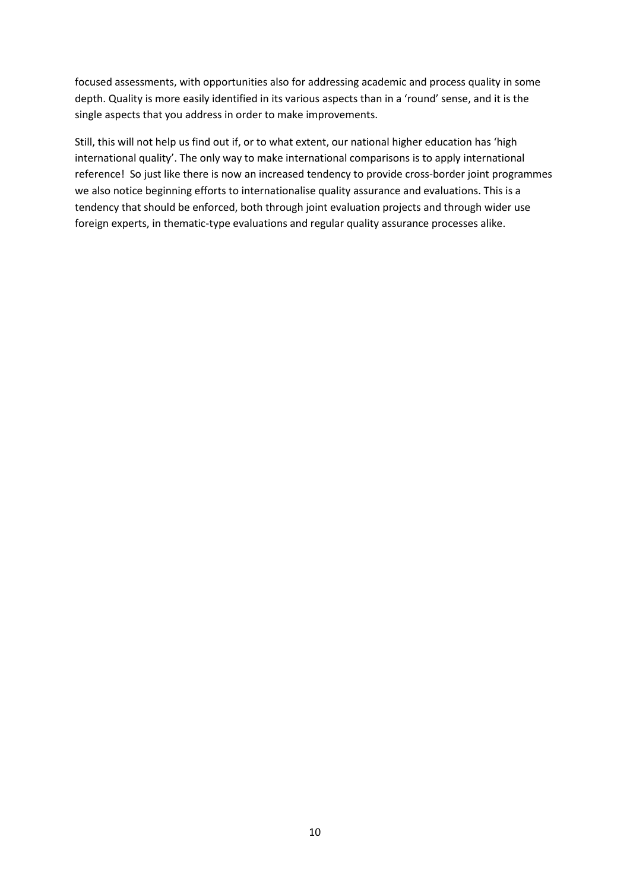focused assessments, with opportunities also for addressing academic and process quality in some depth. Quality is more easily identified in its various aspects than in a 'round' sense, and it is the single aspects that you address in order to make improvements.

Still, this will not help us find out if, or to what extent, our national higher education has 'high international quality'. The only way to make international comparisons is to apply international reference! So just like there is now an increased tendency to provide cross-border joint programmes we also notice beginning efforts to internationalise quality assurance and evaluations. This is a tendency that should be enforced, both through joint evaluation projects and through wider use foreign experts, in thematic-type evaluations and regular quality assurance processes alike.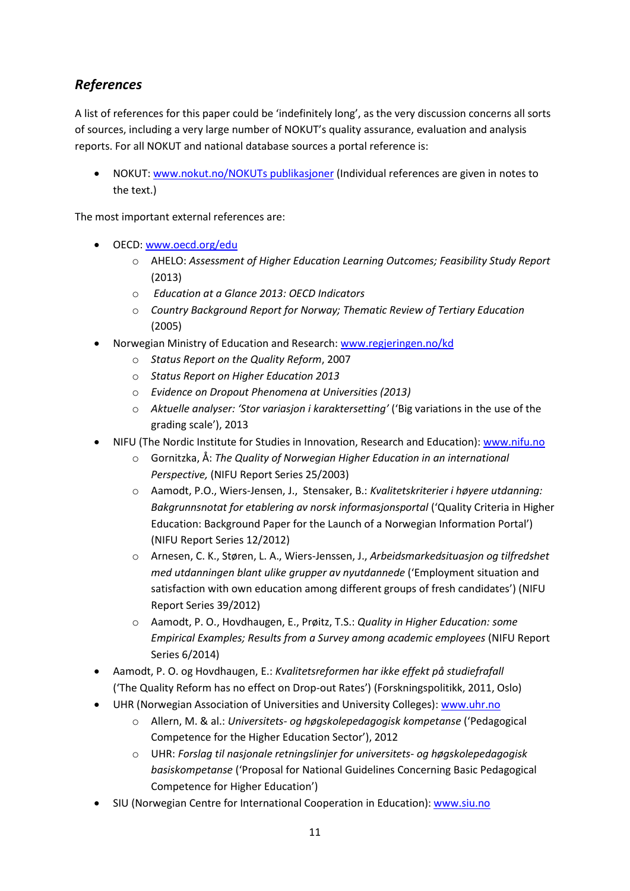# *References*

A list of references for this paper could be 'indefinitely long', as the very discussion concerns all sorts of sources, including a very large number of NOKUT's quality assurance, evaluation and analysis reports. For all NOKUT and national database sources a portal reference is:

 NOKUT: [www.nokut.no/NOKUTs](http://www.nokut.no/NOKUTs) publikasjoner (Individual references are given in notes to the text.)

The most important external references are:

- OECD: [www.oecd.org/edu](http://www.oecd.org/edu)
	- o AHELO: *Assessment of Higher Education Learning Outcomes; Feasibility Study Report*  (2013)
	- o *Education at a Glance 2013: OECD Indicators*
	- o *Country Background Report for Norway; Thematic Review of Tertiary Education*  (2005)
- Norwegian Ministry of Education and Research: [www.regjeringen.no/kd](http://www.regjeringen.no/kd)
	- o *Status Report on the Quality Reform*, 2007
	- o *Status Report on Higher Education 2013*
	- o *Evidence on Dropout Phenomena at Universities (2013)*
	- o *Aktuelle analyser: 'Stor variasjon i karaktersetting'* ('Big variations in the use of the grading scale'), 2013
	- NIFU (The Nordic Institute for Studies in Innovation, Research and Education): [www.nifu.no](http://www.nifu.no/)
		- o Gornitzka, Å: *The Quality of Norwegian Higher Education in an international Perspective,* (NIFU Report Series 25/2003)
		- o Aamodt, P.O., Wiers-Jensen, J., Stensaker, B.: *Kvalitetskriterier i høyere utdanning: Bakgrunnsnotat for etablering av norsk informasjonsportal* ('Quality Criteria in Higher Education: Background Paper for the Launch of a Norwegian Information Portal') (NIFU Report Series 12/2012)
		- o Arnesen, C. K., Støren, L. A., Wiers-Jenssen, J., *Arbeidsmarkedsituasjon og tilfredshet med utdanningen blant ulike grupper av nyutdannede* ('Employment situation and satisfaction with own education among different groups of fresh candidates') (NIFU Report Series 39/2012)
		- o Aamodt, P. O., Hovdhaugen, E., Prøitz, T.S.: *Quality in Higher Education: some Empirical Examples; Results from a Survey among academic employees* (NIFU Report Series 6/2014)
- Aamodt, P. O. og Hovdhaugen, E.: *Kvalitetsreformen har ikke effekt på studiefrafall* ('The Quality Reform has no effect on Drop-out Rates') (Forskningspolitikk, 2011, Oslo)
- UHR (Norwegian Association of Universities and University Colleges): [www.uhr.no](http://www.uhr.no/)
	- o Allern, M. & al.: *Universitets- og høgskolepedagogisk kompetanse* ('Pedagogical Competence for the Higher Education Sector'), 2012
	- o UHR: *Forslag til nasjonale retningslinjer for universitets- og høgskolepedagogisk basiskompetanse* ('Proposal for National Guidelines Concerning Basic Pedagogical Competence for Higher Education')
- SIU (Norwegian Centre for International Cooperation in Education): [www.siu.no](http://www.siu.no/)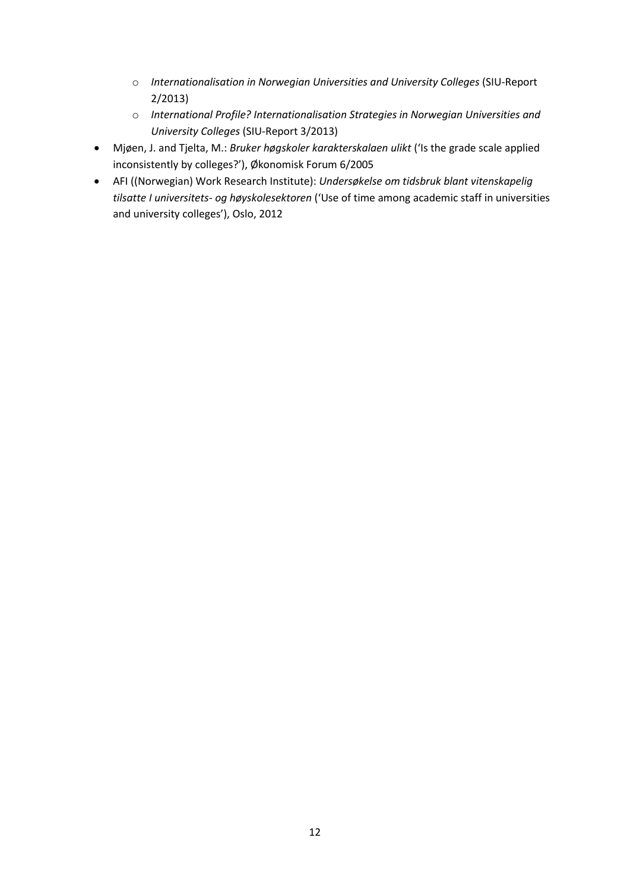- o *Internationalisation in Norwegian Universities and University Colleges* (SIU-Report 2/2013)
- o *International Profile? Internationalisation Strategies in Norwegian Universities and University Colleges* (SIU-Report 3/2013)
- Mjøen, J. and Tjelta, M.: *Bruker høgskoler karakterskalaen ulikt* ('Is the grade scale applied inconsistently by colleges?'), Økonomisk Forum 6/2005
- AFI ((Norwegian) Work Research Institute): *Undersøkelse om tidsbruk blant vitenskapelig tilsatte I universitets- og høyskolesektoren* ('Use of time among academic staff in universities and university colleges'), Oslo, 2012